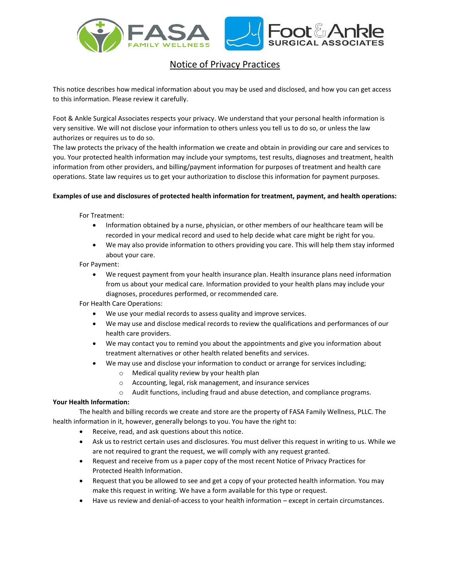

# Notice of Privacy Practices

This notice describes how medical information about you may be used and disclosed, and how you can get access to this information. Please review it carefully.

Foot & Ankle Surgical Associates respects your privacy. We understand that your personal health information is very sensitive. We will not disclose your information to others unless you tell us to do so, or unless the law authorizes or requires us to do so.

The law protects the privacy of the health information we create and obtain in providing our care and services to you. Your protected health information may include your symptoms, test results, diagnoses and treatment, health information from other providers, and billing/payment information for purposes of treatment and health care operations. State law requires us to get your authorization to disclose this information for payment purposes.

## **Examples of use and disclosures of protected health information for treatment, payment, and health operations:**

For Treatment:

- Information obtained by a nurse, physician, or other members of our healthcare team will be recorded in your medical record and used to help decide what care might be right for you.
- We may also provide information to others providing you care. This will help them stay informed about your care.

For Payment:

• We request payment from your health insurance plan. Health insurance plans need information from us about your medical care. Information provided to your health plans may include your diagnoses, procedures performed, or recommended care.

For Health Care Operations:

- We use your medial records to assess quality and improve services.
- We may use and disclose medical records to review the qualifications and performances of our health care providers.
- We may contact you to remind you about the appointments and give you information about treatment alternatives or other health related benefits and services.
	- We may use and disclose your information to conduct or arrange for services including;
		- o Medical quality review by your health plan
		- o Accounting, legal, risk management, and insurance services
		- o Audit functions, including fraud and abuse detection, and compliance programs.

## **Your Health Information:**

The health and billing records we create and store are the property of FASA Family Wellness, PLLC. The health information in it, however, generally belongs to you. You have the right to:

- Receive, read, and ask questions about this notice.
- Ask us to restrict certain uses and disclosures. You must deliver this request in writing to us. While we are not required to grant the request, we will comply with any request granted.
- Request and receive from us a paper copy of the most recent Notice of Privacy Practices for Protected Health Information.
- Request that you be allowed to see and get a copy of your protected health information. You may make this request in writing. We have a form available for this type or request.
- Have us review and denial-of-access to your health information except in certain circumstances.